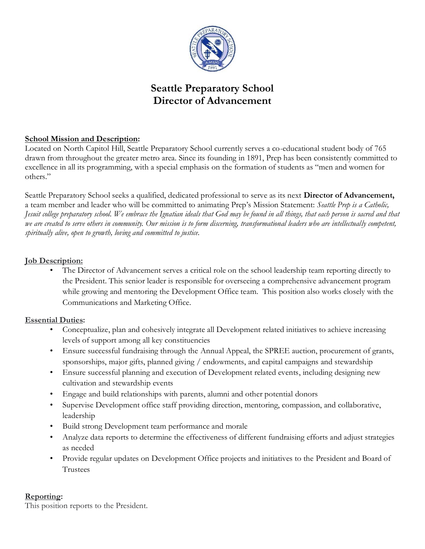

# **Seattle Preparatory School Director of Advancement**

## **School Mission and Description:**

Located on North Capitol Hill, Seattle Preparatory School currently serves a co-educational student body of 765 drawn from throughout the greater metro area. Since its founding in 1891, Prep has been consistently committed to excellence in all its programming, with a special emphasis on the formation of students as "men and women for others."

Seattle Preparatory School seeks a qualified, dedicated professional to serve as its next **Director of Advancement,** a team member and leader who will be committed to animating Prep's Mission Statement: *Seattle Prep is a Catholic, Jesuit college preparatory school. We embrace the Ignatian ideals that God may be found in all things, that each person is sacred and that we are created to serve others in community. Our mission is to form discerning, transformational leaders who are intellectually competent, spiritually alive, open to growth, loving and committed to justice.*

#### **Job Description:**

The Director of Advancement serves a critical role on the school leadership team reporting directly to the President. This senior leader is responsible for overseeing a comprehensive advancement program while growing and mentoring the Development Office team. This position also works closely with the Communications and Marketing Office.

#### **Essential Duties:**

- Conceptualize, plan and cohesively integrate all Development related initiatives to achieve increasing levels of support among all key constituencies
- Ensure successful fundraising through the Annual Appeal, the SPREE auction, procurement of grants, sponsorships, major gifts, planned giving / endowments, and capital campaigns and stewardship
- Ensure successful planning and execution of Development related events, including designing new cultivation and stewardship events
- Engage and build relationships with parents, alumni and other potential donors
- Supervise Development office staff providing direction, mentoring, compassion, and collaborative, leadership
- Build strong Development team performance and morale
- Analyze data reports to determine the effectiveness of different fundraising efforts and adjust strategies as needed
- Provide regular updates on Development Office projects and initiatives to the President and Board of Trustees

## **Reporting:**

This position reports to the President.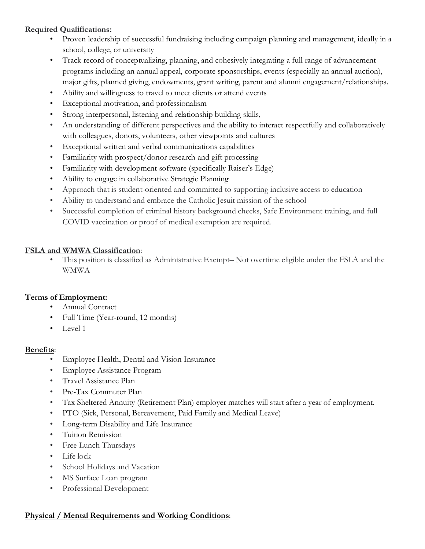### **Required Qualifications:**

- Proven leadership of successful fundraising including campaign planning and management, ideally in a school, college, or university
- Track record of conceptualizing, planning, and cohesively integrating a full range of advancement programs including an annual appeal, corporate sponsorships, events (especially an annual auction), major gifts, planned giving, endowments, grant writing, parent and alumni engagement/relationships.
- Ability and willingness to travel to meet clients or attend events
- Exceptional motivation, and professionalism
- Strong interpersonal, listening and relationship building skills,
- An understanding of different perspectives and the ability to interact respectfully and collaboratively with colleagues, donors, volunteers, other viewpoints and cultures
- Exceptional written and verbal communications capabilities
- Familiarity with prospect/donor research and gift processing
- Familiarity with development software (specifically Raiser's Edge)
- Ability to engage in collaborative Strategic Planning
- Approach that is student-oriented and committed to supporting inclusive access to education
- Ability to understand and embrace the Catholic Jesuit mission of the school
- Successful completion of criminal history background checks, Safe Environment training, and full COVID vaccination or proof of medical exemption are required.

#### **FSLA and WMWA Classification**:

• This position is classified as Administrative Exempt– Not overtime eligible under the FSLA and the WMWA

#### **Terms of Employment:**

- Annual Contract
- Full Time (Year-round, 12 months)
- Level 1

#### **Benefits**:

- Employee Health, Dental and Vision Insurance
- Employee Assistance Program
- Travel Assistance Plan
- Pre-Tax Commuter Plan
- Tax Sheltered Annuity (Retirement Plan) employer matches will start after a year of employment.
- PTO (Sick, Personal, Bereavement, Paid Family and Medical Leave)
- Long-term Disability and Life Insurance
- Tuition Remission
- Free Lunch Thursdays
- Life lock
- School Holidays and Vacation
- MS Surface Loan program
- Professional Development

#### **Physical / Mental Requirements and Working Conditions**: